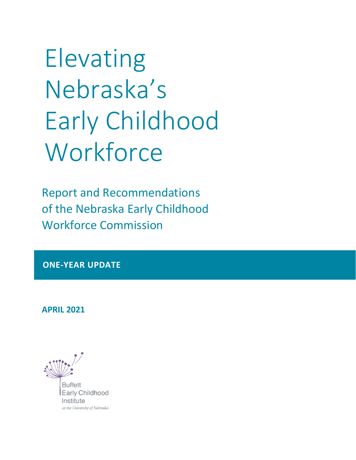Elevating Nebraska's Early Childhood **Workforce** 

Report and Recommendations of the Nebraska Early Childhood Workforce Commission

**ONE-YEAR UPDATE**

**APRIL 2021**

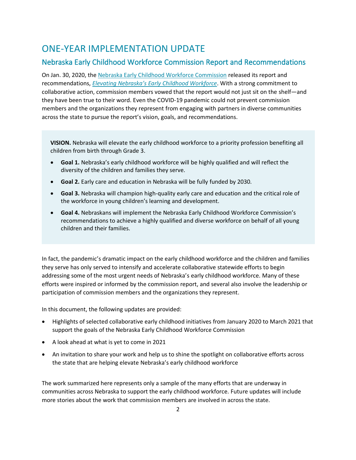## ONE-YEAR IMPLEMENTATION UPDATE

#### Nebraska Early Childhood Workforce Commission Report and Recommendations

On Jan. 30, 2020, th[e Nebraska Early Childhood Workforce Commission](https://buffettinstitute.nebraska.edu/our-work/early-childhood-workforce-commission) released its report and recommendations, *[Elevating Nebraska's Early Childhood Workforce](https://issuu.com/buffettearlychildhoodinstitute/docs/workforce_commission_report_pages_final)*. With a strong commitment to collaborative action, commission members vowed that the report would not just sit on the shelf—and they have been true to their word. Even the COVID-19 pandemic could not prevent commission members and the organizations they represent from engaging with partners in diverse communities across the state to pursue the report's vision, goals, and recommendations.

**VISION.** Nebraska will elevate the early childhood workforce to a priority profession benefiting all children from birth through Grade 3.

- **Goal 1.** Nebraska's early childhood workforce will be highly qualified and will reflect the diversity of the children and families they serve.
- **Goal 2.** Early care and education in Nebraska will be fully funded by 2030.
- **Goal 3.** Nebraska will champion high-quality early care and education and the critical role of the workforce in young children's learning and development.
- **Goal 4.** Nebraskans will implement the Nebraska Early Childhood Workforce Commission's recommendations to achieve a highly qualified and diverse workforce on behalf of all young children and their families.

In fact, the pandemic's dramatic impact on the early childhood workforce and the children and families they serve has only served to intensify and accelerate collaborative statewide efforts to begin addressing some of the most urgent needs of Nebraska's early childhood workforce. Many of these efforts were inspired or informed by the commission report, and several also involve the leadership or participation of commission members and the organizations they represent.

In this document, the following updates are provided:

- Highlights of selected collaborative early childhood initiatives from January 2020 to March 2021 that support the goals of the Nebraska Early Childhood Workforce Commission
- A look ahead at what is yet to come in 2021
- An invitation to share your work and help us to shine the spotlight on collaborative efforts across the state that are helping elevate Nebraska's early childhood workforce

The work summarized here represents only a sample of the many efforts that are underway in communities across Nebraska to support the early childhood workforce. Future updates will include more stories about the work that commission members are involved in across the state.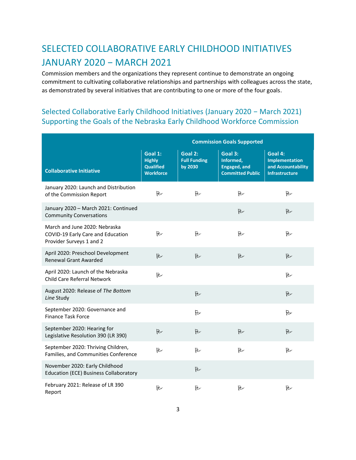# SELECTED COLLABORATIVE EARLY CHILDHOOD INITIATIVES JANUARY 2020 − MARCH 2021

Commission members and the organizations they represent continue to demonstrate an ongoing commitment to cultivating collaborative relationships and partnerships with colleagues across the state, as demonstrated by several initiatives that are contributing to one or more of the four goals.

#### Selected Collaborative Early Childhood Initiatives (January 2020 − March 2021) Supporting the Goals of the Nebraska Early Childhood Workforce Commission

|                                                                                                | <b>Commission Goals Supported</b>                                |                                           |                                                                        |                                                                                 |
|------------------------------------------------------------------------------------------------|------------------------------------------------------------------|-------------------------------------------|------------------------------------------------------------------------|---------------------------------------------------------------------------------|
| <b>Collaborative Initiative</b>                                                                | Goal 1:<br><b>Highly</b><br><b>Qualified</b><br><b>Workforce</b> | Goal 2:<br><b>Full Funding</b><br>by 2030 | Goal 3:<br>Informed,<br><b>Engaged, and</b><br><b>Committed Public</b> | Goal 4:<br><b>Implementation</b><br>and Accountability<br><b>Infrastructure</b> |
| January 2020: Launch and Distribution<br>of the Commission Report                              | B                                                                | B                                         | 凡                                                                      | 凡                                                                               |
| January 2020 - March 2021: Continued<br><b>Community Conversations</b>                         |                                                                  |                                           | $\approx$                                                              | B                                                                               |
| March and June 2020: Nebraska<br>COVID-19 Early Care and Education<br>Provider Surveys 1 and 2 | d                                                                | B                                         | ら                                                                      | ら                                                                               |
| April 2020: Preschool Development<br><b>Renewal Grant Awarded</b>                              | <b>R</b>                                                         | R                                         | $\approx$                                                              | $\approx$                                                                       |
| April 2020: Launch of the Nebraska<br><b>Child Care Referral Network</b>                       | B                                                                |                                           |                                                                        | B                                                                               |
| August 2020: Release of The Bottom<br>Line Study                                               |                                                                  | R                                         |                                                                        | B                                                                               |
| September 2020: Governance and<br><b>Finance Task Force</b>                                    |                                                                  | B                                         |                                                                        | B                                                                               |
| September 2020: Hearing for<br>Legislative Resolution 390 (LR 390)                             | 一                                                                | <b>R</b>                                  | $\approx$                                                              | R                                                                               |
| September 2020: Thriving Children,<br>Families, and Communities Conference                     | 瓜                                                                | B                                         | ら                                                                      | ら                                                                               |
| November 2020: Early Childhood<br><b>Education (ECE) Business Collaboratory</b>                |                                                                  | B                                         |                                                                        |                                                                                 |
| February 2021: Release of LR 390<br>Report                                                     | B                                                                | P                                         | B                                                                      | P                                                                               |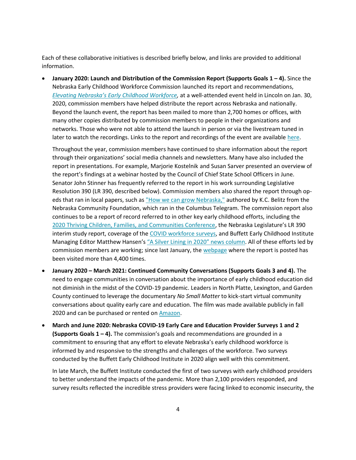Each of these collaborative initiatives is described briefly below, and links are provided to additional information.

• **January 2020: Launch and Distribution of the Commission Report (Supports Goals 1 – 4).** Since the Nebraska Early Childhood Workforce Commission launched its report and recommendations, *[Elevating Nebraska's Early Childhood Workforce](https://issuu.com/buffettearlychildhoodinstitute/docs/workforce_commission_report_pages_final),* at a well-attended event held in Lincoln on Jan. 30, 2020, commission members have helped distribute the report across Nebraska and nationally. Beyond the launch event, the report has been mailed to more than 2,700 homes or offices, with many other copies distributed by commission members to people in their organizations and networks. Those who were not able to attend the launch in person or via the livestream tuned in later to watch the recordings. Links to the report and recordings of the event are available [here.](https://buffettinstitute.nebraska.edu/our-work/early-childhood-workforce-commission)

Throughout the year, commission members have continued to share information about the report through their organizations' social media channels and newsletters. Many have also included the report in presentations. For example, Marjorie Kostelnik and Susan Sarver presented an overview of the report's findings at a webinar hosted by the Council of Chief State School Officers in June. Senator John Stinner has frequently referred to the report in his work surrounding Legislative Resolution 390 (LR 390, described below). Commission members also shared the report through opeds that ran in local papers, such as ["How we can grow Nebraska,"](https://columbustelegram.com/news/local/how-we-can-grow-nebraska/article_ca31d5aa-08ea-5b48-bfa6-d75d8d2519c1.html) authored by K.C. Belitz from the Nebraska Community Foundation, which ran in the Columbus Telegram. The commission report also continues to be a report of record referred to in other key early childhood efforts, including the [2020 Thriving Children, Families, and Communities Conference,](https://www.ksnblocal4.com/content/news/Hundreds-attend-conference-to-improve-early-childhood-care-560527661.html) the Nebraska Legislature's LR 390 interim study report, coverage of the [COVID workforce surveys,](https://www.gothenburgleader.com/news/child-care-crisis-affects-us-all/article_913f8946-7bb5-11eb-baef-030d42721089.html) and Buffett Early Childhood Institute Managing Editor Matthew Hansen's "A Silver Lining in [2020" news column](https://starherald.com/opinion/columnists/matthew-hansen-a-silver-lining-in-2020-nebraskans-team-up-to-help-families/article_67115f4b-8b5b-5483-a30d-76c07a76ccbb.html). All of these efforts led by commission members are working; since last January, th[e webpage](https://buffettinstitute.nebraska.edu/our-work/early-childhood-workforce-commission) where the report is posted has been visited more than 4,400 times.

- **January 2020 – March 2021: Continued Community Conversations (Supports Goals 3 and 4).** The need to engage communities in conversation about the importance of early childhood education did not diminish in the midst of the COVID-19 pandemic. Leaders in North Platte, Lexington, and Garden County continued to leverage the documentary *No Small Matter* to kick-start virtual community conversations about quality early care and education. The film was made available publicly in fall 2020 and can be purchased or rented on **Amazon**.
- **March and June 2020: Nebraska COVID-19 Early Care and Education Provider Surveys 1 and 2 (Supports Goals 1 – 4).** The commission's goals and recommendations are grounded in a commitment to ensuring that any effort to elevate Nebraska's early childhood workforce is informed by and responsive to the strengths and challenges of the workforce. Two surveys conducted by the Buffett Early Childhood Institute in 2020 align well with this commitment.

In late March, the Buffett Institute conducted the first of two surveys with early childhood providers to better understand the impacts of the pandemic. More than 2,100 providers responded, and survey results reflected the incredible stress providers were facing linked to economic insecurity, the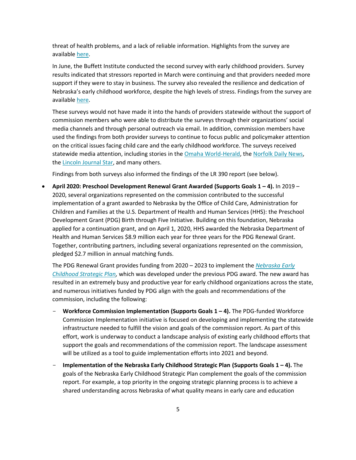threat of health problems, and a lack of reliable information. Highlights from the survey are available [here.](https://buffettinstitute.nebraska.edu/-/media/beci/docs/nebraska-provider-survey-highlights-040720-masterdoc.pdf?la=en)

In June, the Buffett Institute conducted the second survey with early childhood providers. Survey results indicated that stressors reported in March were continuing and that providers needed more support if they were to stay in business. The survey also revealed the resilience and dedication of Nebraska's early childhood workforce, despite the high levels of stress. Findings from the survey are available [here.](https://buffettinstitute.nebraska.edu/-/media/beci/docs/provider-survey-2-080420-final.pdf?la=en)

These surveys would not have made it into the hands of providers statewide without the support of commission members who were able to distribute the surveys through their organizations' social media channels and through personal outreach via email. In addition, commission members have used the findings from both provider surveys to continue to focus public and policymaker attention on the critical issues facing child care and the early childhood workforce. The surveys received statewide media attention, including stories in the [Omaha World-Herald,](https://omaha.com/livewellnebraska/health/child-care-providers-in-nebraska-stressed-by-economic-uncertainty/article_94d88508-1aad-5e86-a1d1-6977c3dd7483.html) the [Norfolk Daily News,](https://norfolkdailynews.com/wjag/news/child-care-providers-experiencing-lots-of-stress-during-covid-19-outbreak/article_464fe496-7911-11ea-8b2f-37be35e3b619.html) th[e Lincoln Journal Star,](https://journalstar.com/news/local/education/survey-nebraska-child-care-providers-hit-hard-by-coronavirus-restrictions-worries-of-infection/article_72874b06-9b94-58c4-b36d-319ec845faf1.html) and many others.

Findings from both surveys also informed the findings of the LR 390 report (see below).

• **April 2020: Preschool Development Renewal Grant Awarded (Supports Goals 1 – 4).** In 2019 – 2020, several organizations represented on the commission contributed to the successful implementation of a grant awarded to Nebraska by the Office of Child Care, Administration for Children and Families at the U.S. Department of Health and Human Services (HHS): the Preschool Development Grant (PDG) Birth through Five Initiative. Building on this foundation, Nebraska applied for a continuation grant, and on April 1, 2020, HHS awarded the Nebraska Department of Health and Human Services \$8.9 million each year for three years for the PDG Renewal Grant. Together, contributing partners, including several organizations represented on the commission, pledged \$2.7 million in annual matching funds.

The PDG Renewal Grant provides funding from 2020 – 2023 to implement the *[Nebraska Early](https://www.nebraskachildren.org/what-we-do/preschool-development-grant/strategic-plan.html)  [Childhood Strategic Plan,](https://www.nebraskachildren.org/what-we-do/preschool-development-grant/strategic-plan.html)* which was developed under the previous PDG award. The new award has resulted in an extremely busy and productive year for early childhood organizations across the state, and numerous initiatives funded by PDG align with the goals and recommendations of the commission, including the following:

- **Workforce Commission Implementation (Supports Goals 1 – 4).** The PDG-funded Workforce Commission Implementation initiative is focused on developing and implementing the statewide infrastructure needed to fulfill the vision and goals of the commission report. As part of this effort, work is underway to conduct a landscape analysis of existing early childhood efforts that support the goals and recommendations of the commission report. The landscape assessment will be utilized as a tool to guide implementation efforts into 2021 and beyond.
- **Implementation of the Nebraska Early Childhood Strategic Plan (Supports Goals 1 – 4).** The goals of the Nebraska Early Childhood Strategic Plan complement the goals of the commission report. For example, a top priority in the ongoing strategic planning process is to achieve a shared understanding across Nebraska of what quality means in early care and education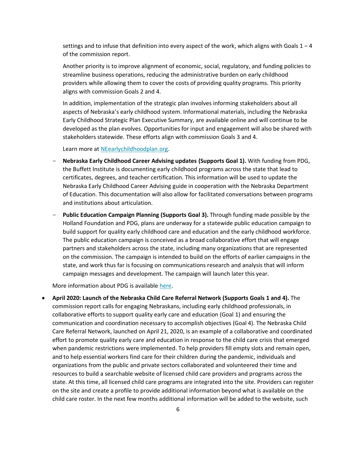settings and to infuse that definition into every aspect of the work, which aligns with Goals 1 − 4 of the commission report.

Another priority is to improve alignment of economic, social, regulatory, and funding policies to streamline business operations, reducing the administrative burden on early childhood providers while allowing them to cover the costs of providing quality programs. This priority aligns with commission Goals 2 and 4.

In addition, implementation of the strategic plan involves informing stakeholders about all aspects of Nebraska's early childhood system. Informational materials, including the Nebraska Early Childhood Strategic Plan Executive Summary, are available online and will continue to be developed as the plan evolves. Opportunities for input and engagement will also be shared with stakeholders statewide. These efforts align with commission Goals 3 and 4.

Learn more at [NEearlychildhoodplan.org.](http://www.neearlychildhoodplan.org/)

- **Nebraska Early Childhood Career Advising updates (Supports Goal 1).** With funding from PDG, the Buffett Institute is documenting early childhood programs across the state that lead to certificates, degrees, and teacher certification. This information will be used to update the Nebraska Early Childhood Career Advising guide in cooperation with the Nebraska Department of Education. This documentation will also allow for facilitated conversations between programs and institutions about articulation.
- **Public Education Campaign Planning (Supports Goal 3).** Through funding made possible by the Holland Foundation and PDG, plans are underway for a statewide public education campaign to build support for quality early childhood care and education and the early childhood workforce. The public education campaign is conceived as a broad collaborative effort that will engage partners and stakeholders across the state, including many organizations that are represented on the commission. The campaign is intended to build on the efforts of earlier campaigns in the state, and work thus far is focusing on communications research and analysis that will inform campaign messages and development. The campaign will launch later this year.

More information about PDG is available [here.](https://www.nebraskachildren.org/what-we-do/preschool-development-grant/)

• **April 2020: Launch of the Nebraska Child Care Referral Network (Supports Goals 1 and 4).** The commission report calls for engaging Nebraskans, including early childhood professionals, in collaborative efforts to support quality early care and education (Goal 1) and ensuring the communication and coordination necessary to accomplish objectives (Goal 4). The Nebraska Child Care Referral Network, launched on April 21, 2020, is an example of a collaborative and coordinated effort to promote quality early care and education in response to the child care crisis that emerged when pandemic restrictions were implemented. To help providers fill empty slots and remain open, and to help essential workers find care for their children during the pandemic, individuals and organizations from the public and private sectors collaborated and volunteered their time and resources to build a searchable website of licensed child care providers and programs across the state. At this time, all licensed child care programs are integrated into the site. Providers can register on the site and create a profile to provide additional information beyond what is available on the child care roster. In the next few months additional information will be added to the website, such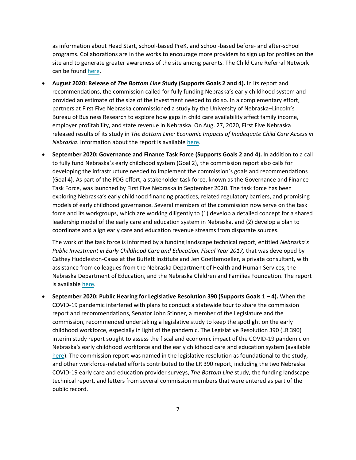as information about Head Start, school-based PreK, and school-based before- and after-school programs. Collaborations are in the works to encourage more providers to sign up for profiles on the site and to generate greater awareness of the site among parents. The Child Care Referral Network can be found [here.](https://www.nechildcarereferral.org/)

- **August 2020: Release of** *The Bottom Line* **Study (Supports Goals 2 and 4).** In its report and recommendations, the commission called for fully funding Nebraska's early childhood system and provided an estimate of the size of the investment needed to do so. In a complementary effort, partners at First Five Nebraska commissioned a study by the University of Nebraska–Lincoln's Bureau of Business Research to explore how gaps in child care availability affect family income, employer profitability, and state revenue in Nebraska. On Aug. 27, 2020, First Five Nebraska released results of its study in *The Bottom Line: Economic Impacts of Inadequate Child Care Access in Nebraska*. Information about the report is available [here.](http://www.firstfivenebraska.org/newsroom)
- **September 2020: Governance and Finance Task Force (Supports Goals 2 and 4).** In addition to a call to fully fund Nebraska's early childhood system (Goal 2), the commission report also calls for developing the infrastructure needed to implement the commission's goals and recommendations (Goal 4). As part of the PDG effort, a stakeholder task force, known as the Governance and Finance Task Force, was launched by First Five Nebraska in September 2020. The task force has been exploring Nebraska's early childhood financing practices, related regulatory barriers, and promising models of early childhood governance. Several members of the commission now serve on the task force and its workgroups, which are working diligently to (1) develop a detailed concept for a shared leadership model of the early care and education system in Nebraska, and (2) develop a plan to coordinate and align early care and education revenue streams from disparate sources.

The work of the task force is informed by a funding landscape technical report, entitled *Nebraska's Public Investment in Early Childhood Care and Education, Fiscal Year 2017,* that was developed by Cathey Huddleston-Casas at the Buffett Institute and Jen Goettemoeller, a private consultant, with assistance from colleagues from the Nebraska Department of Health and Human Services, the Nebraska Department of Education, and the Nebraska Children and Families Foundation. The report is available [here.](https://nebraskalegislature.gov/pdf/reports/committee/appropriations/lr390_appendixD.pdf)

• **September 2020: Public Hearing for Legislative Resolution 390 (Supports Goals 1 – 4).** When the COVID-19 pandemic interfered with plans to conduct a statewide tour to share the commission report and recommendations, Senator John Stinner, a member of the Legislature and the commission, recommended undertaking a legislative study to keep the spotlight on the early childhood workforce, especially in light of the pandemic. The Legislative Resolution 390 (LR 390) interim study report sought to assess the fiscal and economic impact of the COVID-19 pandemic on Nebraska's early childhood workforce and the early childhood care and education system (available [here\)](https://nebraskalegislature.gov/pdf/reports/committee/appropriations/lr390_2020.pdf). The commission report was named in the legislative resolution as foundational to the study, and other workforce-related efforts contributed to the LR 390 report, including the two Nebraska COVID-19 early care and education provider surveys, *The Bottom Line* study, the funding landscape technical report, and letters from several commission members that were entered as part of the public record.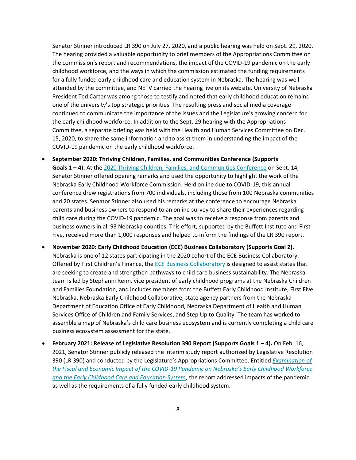Senator Stinner introduced LR 390 on July 27, 2020, and a public hearing was held on Sept. 29, 2020. The hearing provided a valuable opportunity to brief members of the Appropriations Committee on the commission's report and recommendations, the impact of the COVID-19 pandemic on the early childhood workforce, and the ways in which the commission estimated the funding requirements for a fully funded early childhood care and education system in Nebraska. The hearing was well attended by the committee, and NETV carried the hearing live on its website. University of Nebraska President Ted Carter was among those to testify and noted that early childhood education remains one of the university's top strategic priorities. The resulting press and social media coverage continued to communicate the importance of the issues and the Legislature's growing concern for the early childhood workforce. In addition to the Sept. 29 hearing with the Appropriations Committee, a separate briefing was held with the Health and Human Services Committee on Dec. 15, 2020, to share the same information and to assist them in understanding the impact of the COVID-19 pandemic on the early childhood workforce.

- **September 2020: Thriving Children, Families, and Communities Conference (Supports Goals 1 – 4).** At th[e 2020 Thriving Children, Families, and Communities Conference](https://webcast.center/buffett/main.php) on Sept. 14, Senator Stinner offered opening remarks and used the opportunity to highlight the work of the Nebraska Early Childhood Workforce Commission. Held online due to COVID-19, this annual conference drew registrations from 700 individuals, including those from 100 Nebraska communities and 20 states. Senator Stinner also used his remarks at the conference to encourage Nebraska parents and business owners to respond to an online survey to share their experiences regarding child care during the COVID-19 pandemic. The goal was to receive a response from parents and business owners in all 93 Nebraska counties. This effort, supported by the Buffett Institute and First Five, received more than 1,000 responses and helped to inform the findings of the LR 390 report.
- **November 2020: Early Childhood Education (ECE) Business Collaboratory (Supports Goal 2).** Nebraska is one of 12 states participating in the 2020 cohort of the ECE Business Collaboratory. Offered by First Children's Finance, the **ECE Business Collaboratory** is designed to assist states that are seeking to create and strengthen pathways to child care business sustainability. The Nebraska team is led by Stephanni Renn, vice president of early childhood programs at the Nebraska Children and Families Foundation, and includes members from the Buffett Early Childhood Institute, First Five Nebraska, Nebraska Early Childhood Collaborative, state agency partners from the Nebraska Department of Education Office of Early Childhood, Nebraska Department of Health and Human Services Office of Children and Family Services, and Step Up to Quality. The team has worked to assemble a map of Nebraska's child care business ecosystem and is currently completing a child care business ecosystem assessment for the state.
- **February 2021: Release of Legislative Resolution 390 Report (Supports Goals 1 – 4).** On Feb. 16, 2021, Senator Stinner publicly released the interim study report authorized by Legislative Resolution 390 (LR 390) and conducted by the Legislature's Appropriations Committee. Entitled *[Examination of](https://nebraskalegislature.gov/pdf/reports/committee/appropriations/lr390_2020.pdf)  [the Fiscal and Economic Impact of the COVID-](https://nebraskalegislature.gov/pdf/reports/committee/appropriations/lr390_2020.pdf)19 Pandemic on Nebraska's Early Childhood Workforce [and the Early Childhood Care and Education System](https://nebraskalegislature.gov/pdf/reports/committee/appropriations/lr390_2020.pdf)*, the report addressed impacts of the pandemic as well as the requirements of a fully funded early childhood system.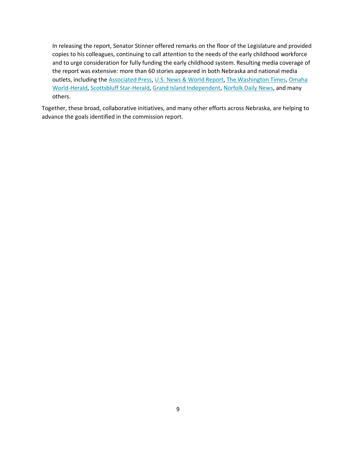In releasing the report, Senator Stinner offered remarks on the floor of the Legislature and provided copies to his colleagues, continuing to call attention to the needs of the early childhood workforce and to urge consideration for fully funding the early childhood system. Resulting media coverage of the report was extensive: more than 60 stories appeared in both Nebraska and national media outlets, including the [Associated Press,](https://apnews.com/article/pandemics-scottsbluff-nebraska-coronavirus-pandemic-7db5255780a6e3a34877dbc90a6bf33e) U.S. [News & World Report,](https://www.usnews.com/news/best-states/nebraska/articles/2021-02-20/study-shows-pandemics-impact-on-nebraska-child-care-centers) [The Washington Times,](https://www.washingtontimes.com/news/2021/feb/20/study-shows-pandemics-impact-on-nebraska-child-car/) Omaha [World-Herald,](https://omaha.com/opinion/columnists/midlands-voices-lawmakers-study-shows-the-enormous-stress-on-nebraska-child-care/article_d7a74952-6d71-11eb-aa09-bfe27e5db4d9.html/?&logged_out=1) [Scottsbluff Star-Herald,](https://starherald.com/opinion/columnists/matthew-hansen-stinner-covid-19-exposes-nebraska-s-child-care-problems/article_e63c0f08-e6a5-548d-bde5-2b07e16e7597.html) [Grand Island Independent,](https://theindependent.com/opinion/editorial/state-must-act-to-boost-child-care/article_b637db40-7232-11eb-8c17-034b6ab97ec7.html) [Norfolk Daily News,](https://norfolkdailynews.com/wjag/news/report-shows-impact-pandemic-has-had-on-early-childhood-workforce/article_638188ee-7302-11eb-b446-07189a29f0ad.html) and many others.

Together, these broad, collaborative initiatives, and many other efforts across Nebraska, are helping to advance the goals identified in the commission report.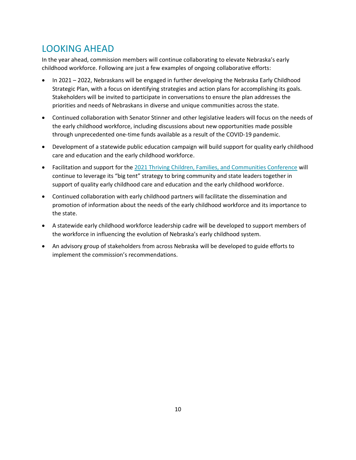# LOOKING AHEAD

In the year ahead, commission members will continue collaborating to elevate Nebraska's early childhood workforce. Following are just a few examples of ongoing collaborative efforts:

- In 2021 2022, Nebraskans will be engaged in further developing the Nebraska Early Childhood Strategic Plan, with a focus on identifying strategies and action plans for accomplishing its goals. Stakeholders will be invited to participate in conversations to ensure the plan addresses the priorities and needs of Nebraskans in diverse and unique communities across the state.
- Continued collaboration with Senator Stinner and other legislative leaders will focus on the needs of the early childhood workforce, including discussions about new opportunities made possible through unprecedented one-time funds available as a result of the COVID-19 pandemic.
- Development of a statewide public education campaign will build support for quality early childhood care and education and the early childhood workforce.
- Facilitation and support for the [2021 Thriving Children, Families, and Communities Conference](https://buffettinstitute.nebraska.edu/news-and-events/events) will continue to leverage its "big tent" strategy to bring community and state leaders together in support of quality early childhood care and education and the early childhood workforce.
- Continued collaboration with early childhood partners will facilitate the dissemination and promotion of information about the needs of the early childhood workforce and its importance to the state.
- A statewide early childhood workforce leadership cadre will be developed to support members of the workforce in influencing the evolution of Nebraska's early childhood system.
- An advisory group of stakeholders from across Nebraska will be developed to guide efforts to implement the commission's recommendations.